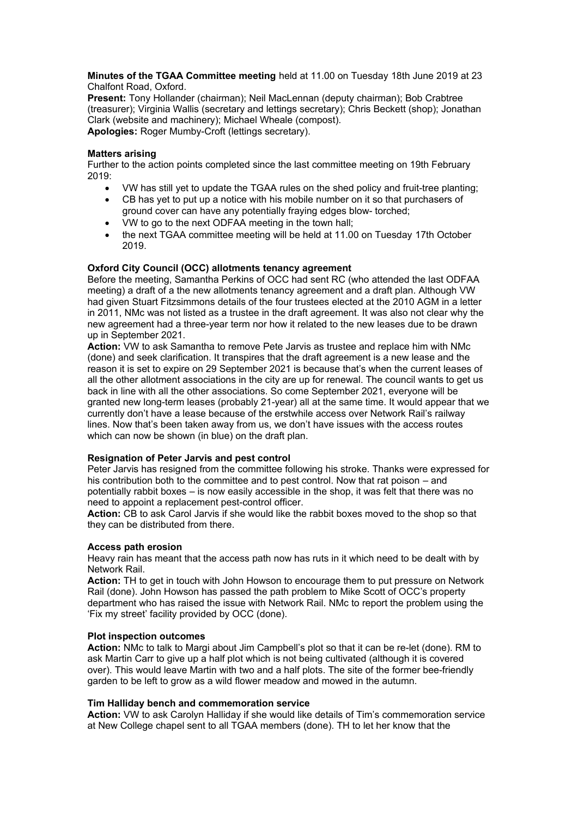**Minutes of the TGAA Committee meeting** held at 11.00 on Tuesday 18th June 2019 at 23 Chalfont Road, Oxford.

**Present:** Tony Hollander (chairman); Neil MacLennan (deputy chairman); Bob Crabtree (treasurer); Virginia Wallis (secretary and lettings secretary); Chris Beckett (shop); Jonathan Clark (website and machinery); Michael Wheale (compost). **Apologies:** Roger Mumby-Croft (lettings secretary).

#### **Matters arising**

Further to the action points completed since the last committee meeting on 19th February 2019:

- VW has still yet to update the TGAA rules on the shed policy and fruit-tree planting;
- CB has yet to put up a notice with his mobile number on it so that purchasers of ground cover can have any potentially fraying edges blow- torched;
- VW to go to the next ODFAA meeting in the town hall;
- the next TGAA committee meeting will be held at 11.00 on Tuesday 17th October 2019.

# **Oxford City Council (OCC) allotments tenancy agreement**

Before the meeting, Samantha Perkins of OCC had sent RC (who attended the last ODFAA meeting) a draft of a the new allotments tenancy agreement and a draft plan. Although VW had given Stuart Fitzsimmons details of the four trustees elected at the 2010 AGM in a letter in 2011, NMc was not listed as a trustee in the draft agreement. It was also not clear why the new agreement had a three-year term nor how it related to the new leases due to be drawn up in September 2021.

**Action:** VW to ask Samantha to remove Pete Jarvis as trustee and replace him with NMc (done) and seek clarification. It transpires that the draft agreement is a new lease and the reason it is set to expire on 29 September 2021 is because that's when the current leases of all the other allotment associations in the city are up for renewal. The council wants to get us back in line with all the other associations. So come September 2021, everyone will be granted new long-term leases (probably 21-year) all at the same time. It would appear that we currently don't have a lease because of the erstwhile access over Network Rail's railway lines. Now that's been taken away from us, we don't have issues with the access routes which can now be shown (in blue) on the draft plan.

# **Resignation of Peter Jarvis and pest control**

Peter Jarvis has resigned from the committee following his stroke. Thanks were expressed for his contribution both to the committee and to pest control. Now that rat poison – and potentially rabbit boxes – is now easily accessible in the shop, it was felt that there was no need to appoint a replacement pest-control officer.

**Action:** CB to ask Carol Jarvis if she would like the rabbit boxes moved to the shop so that they can be distributed from there.

# **Access path erosion**

Heavy rain has meant that the access path now has ruts in it which need to be dealt with by Network Rail.

**Action:** TH to get in touch with John Howson to encourage them to put pressure on Network Rail (done). John Howson has passed the path problem to Mike Scott of OCC's property department who has raised the issue with Network Rail. NMc to report the problem using the 'Fix my street' facility provided by OCC (done).

# **Plot inspection outcomes**

**Action:** NMc to talk to Margi about Jim Campbell's plot so that it can be re-let (done). RM to ask Martin Carr to give up a half plot which is not being cultivated (although it is covered over). This would leave Martin with two and a half plots. The site of the former bee-friendly garden to be left to grow as a wild flower meadow and mowed in the autumn.

# **Tim Halliday bench and commemoration service**

**Action:** VW to ask Carolyn Halliday if she would like details of Tim's commemoration service at New College chapel sent to all TGAA members (done). TH to let her know that the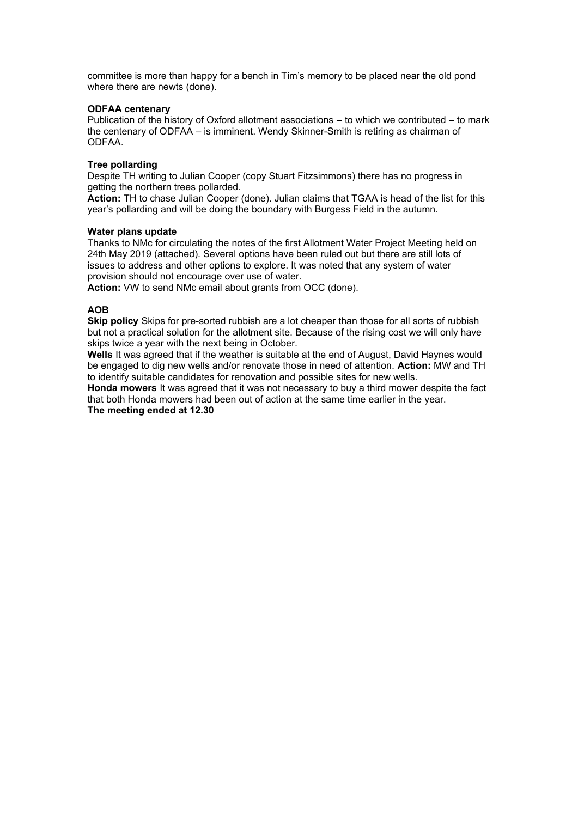committee is more than happy for a bench in Tim's memory to be placed near the old pond where there are newts (done).

# **ODFAA centenary**

Publication of the history of Oxford allotment associations – to which we contributed – to mark the centenary of ODFAA – is imminent. Wendy Skinner-Smith is retiring as chairman of ODFAA.

# **Tree pollarding**

Despite TH writing to Julian Cooper (copy Stuart Fitzsimmons) there has no progress in getting the northern trees pollarded.

**Action:** TH to chase Julian Cooper (done). Julian claims that TGAA is head of the list for this year's pollarding and will be doing the boundary with Burgess Field in the autumn.

#### **Water plans update**

Thanks to NMc for circulating the notes of the first Allotment Water Project Meeting held on 24th May 2019 (attached). Several options have been ruled out but there are still lots of issues to address and other options to explore. It was noted that any system of water provision should not encourage over use of water.

**Action:** VW to send NMc email about grants from OCC (done).

# **AOB**

**Skip policy** Skips for pre-sorted rubbish are a lot cheaper than those for all sorts of rubbish but not a practical solution for the allotment site. Because of the rising cost we will only have skips twice a year with the next being in October.

**Wells** It was agreed that if the weather is suitable at the end of August, David Haynes would be engaged to dig new wells and/or renovate those in need of attention. **Action:** MW and TH to identify suitable candidates for renovation and possible sites for new wells.

**Honda mowers** It was agreed that it was not necessary to buy a third mower despite the fact that both Honda mowers had been out of action at the same time earlier in the year. **The meeting ended at 12.30**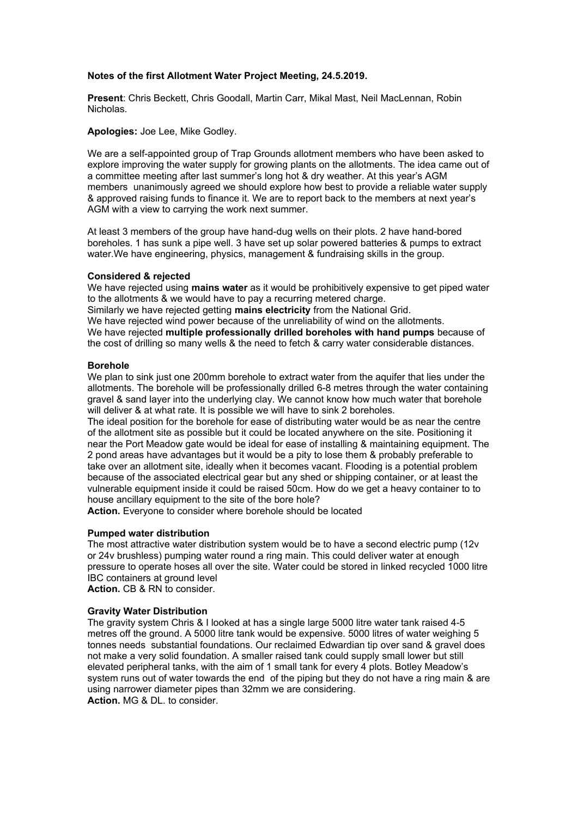# **Notes of the first Allotment Water Project Meeting, 24.5.2019.**

**Present**: Chris Beckett, Chris Goodall, Martin Carr, Mikal Mast, Neil MacLennan, Robin Nicholas.

**Apologies:** Joe Lee, Mike Godley.

We are a self-appointed group of Trap Grounds allotment members who have been asked to explore improving the water supply for growing plants on the allotments. The idea came out of a committee meeting after last summer's long hot & dry weather. At this year's AGM members unanimously agreed we should explore how best to provide a reliable water supply & approved raising funds to finance it. We are to report back to the members at next year's AGM with a view to carrying the work next summer.

At least 3 members of the group have hand-dug wells on their plots. 2 have hand-bored boreholes. 1 has sunk a pipe well. 3 have set up solar powered batteries & pumps to extract water.We have engineering, physics, management & fundraising skills in the group.

#### **Considered & rejected**

We have rejected using **mains water** as it would be prohibitively expensive to get piped water to the allotments & we would have to pay a recurring metered charge. Similarly we have rejected getting **mains electricity** from the National Grid. We have rejected wind power because of the unreliability of wind on the allotments. We have rejected **multiple professionally drilled boreholes with hand pumps** because of the cost of drilling so many wells & the need to fetch & carry water considerable distances.

#### **Borehole**

We plan to sink just one 200mm borehole to extract water from the aquifer that lies under the allotments. The borehole will be professionally drilled 6-8 metres through the water containing gravel & sand layer into the underlying clay. We cannot know how much water that borehole will deliver & at what rate. It is possible we will have to sink 2 boreholes.

The ideal position for the borehole for ease of distributing water would be as near the centre of the allotment site as possible but it could be located anywhere on the site. Positioning it near the Port Meadow gate would be ideal for ease of installing & maintaining equipment. The 2 pond areas have advantages but it would be a pity to lose them & probably preferable to take over an allotment site, ideally when it becomes vacant. Flooding is a potential problem because of the associated electrical gear but any shed or shipping container, or at least the vulnerable equipment inside it could be raised 50cm. How do we get a heavy container to to house ancillary equipment to the site of the bore hole?

**Action.** Everyone to consider where borehole should be located

#### **Pumped water distribution**

The most attractive water distribution system would be to have a second electric pump (12v or 24v brushless) pumping water round a ring main. This could deliver water at enough pressure to operate hoses all over the site. Water could be stored in linked recycled 1000 litre IBC containers at ground level

**Action.** CB & RN to consider.

# **Gravity Water Distribution**

The gravity system Chris & I looked at has a single large 5000 litre water tank raised 4-5 metres off the ground. A 5000 litre tank would be expensive. 5000 litres of water weighing 5 tonnes needs substantial foundations. Our reclaimed Edwardian tip over sand & gravel does not make a very solid foundation. A smaller raised tank could supply small lower but still elevated peripheral tanks, with the aim of 1 small tank for every 4 plots. Botley Meadow's system runs out of water towards the end of the piping but they do not have a ring main & are using narrower diameter pipes than 32mm we are considering. **Action.** MG & DL. to consider.